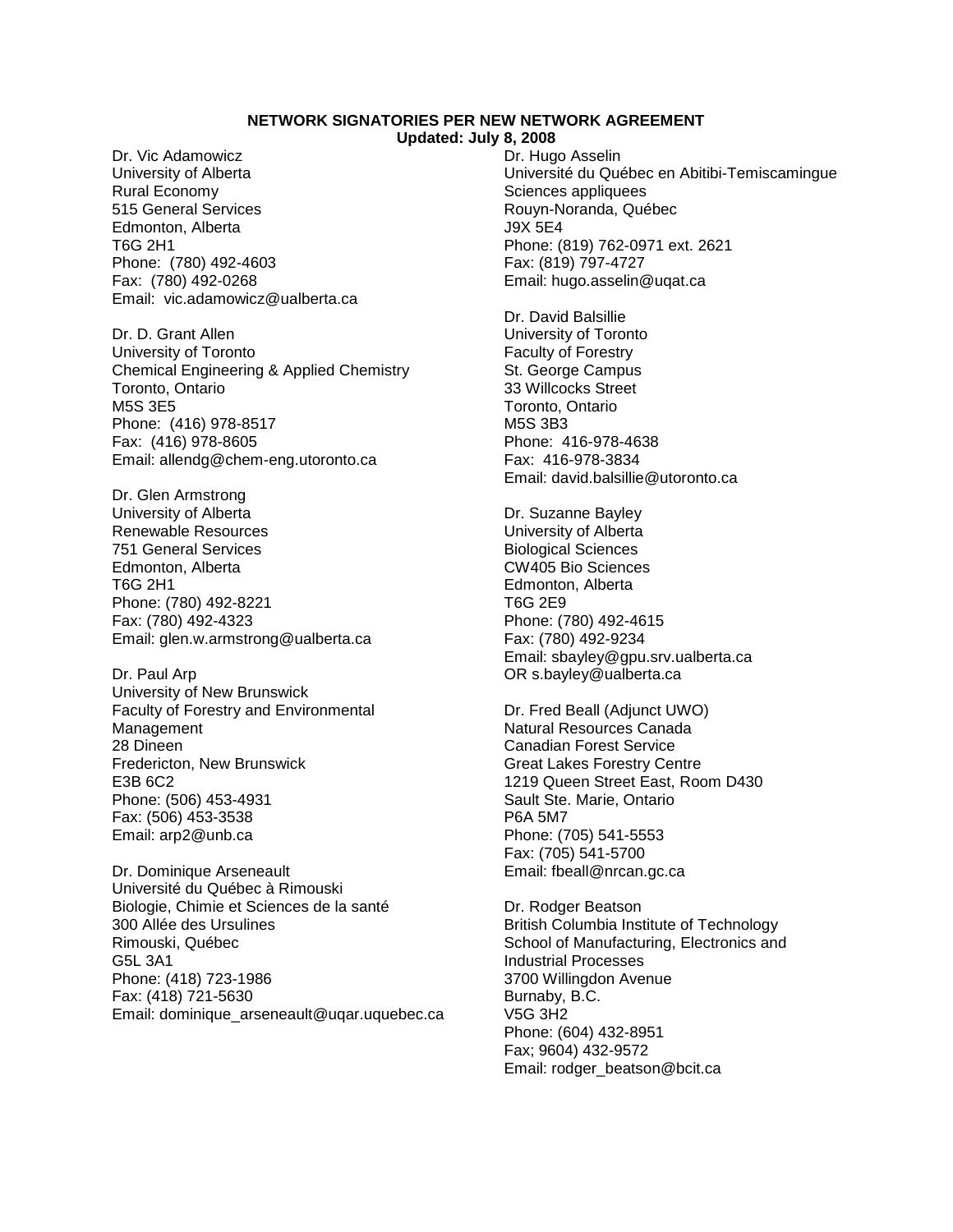## **NETWORK SIGNATORIES PER NEW NETWORK AGREEMENT**

**Updated: July 8, 2008**

Dr. Vic Adamowicz University of Alberta Rural Economy 515 General Services Edmonton, Alberta T6G 2H1 Phone: (780) 492-4603 Fax: (780) 492-0268 Email: vic.adamowicz@ualberta.ca

Dr. D. Grant Allen University of Toronto Chemical Engineering & Applied Chemistry Toronto, Ontario M5S 3E5 Phone: (416) 978-8517 Fax: (416) 978-8605 Email: allendg@chem-eng.utoronto.ca

Dr. Glen Armstrong University of Alberta Renewable Resources 751 General Services Edmonton, Alberta T6G 2H1 Phone: (780) 492-8221 Fax: (780) 492-4323 Email: glen.w.armstrong@ualberta.ca

Dr. Paul Arp University of New Brunswick Faculty of Forestry and Environmental Management 28 Dineen Fredericton, New Brunswick E3B 6C2 Phone: (506) 453-4931 Fax: (506) 453-3538 Email: arp2@unb.ca

Dr. Dominique Arseneault Université du Québec à Rimouski Biologie, Chimie et Sciences de la santé 300 Allée des Ursulines Rimouski, Québec G5L 3A1 Phone: (418) 723-1986 Fax: (418) 721-5630 Email: dominique\_arseneault@uqar.uquebec.ca Dr. Hugo Asselin Université du Québec en Abitibi-Temiscamingue Sciences appliquees Rouyn-Noranda, Québec J9X 5E4 Phone: (819) 762-0971 ext. 2621 Fax: (819) 797-4727 Email: hugo.asselin@uqat.ca

Dr. David Balsillie University of Toronto Faculty of Forestry St. George Campus 33 Willcocks Street Toronto, Ontario M5S 3B3 Phone: 416-978-4638 Fax: 416-978-3834 Email: david.balsillie@utoronto.ca

Dr. Suzanne Bayley University of Alberta Biological Sciences CW405 Bio Sciences Edmonton, Alberta T6G 2E9 Phone: (780) 492-4615 Fax: (780) 492-9234 Email: sbayley@gpu.srv.ualberta.ca OR s.bayley@ualberta.ca

Dr. Fred Beall (Adjunct UWO) Natural Resources Canada Canadian Forest Service Great Lakes Forestry Centre 1219 Queen Street East, Room D430 Sault Ste. Marie, Ontario P6A 5M7 Phone: (705) 541-5553 Fax: (705) 541-5700 Email: fbeall@nrcan.gc.ca

Dr. Rodger Beatson British Columbia Institute of Technology School of Manufacturing, Electronics and Industrial Processes 3700 Willingdon Avenue Burnaby, B.C. V5G 3H2 Phone: (604) 432-8951 Fax; 9604) 432-9572 Email: rodger\_beatson@bcit.ca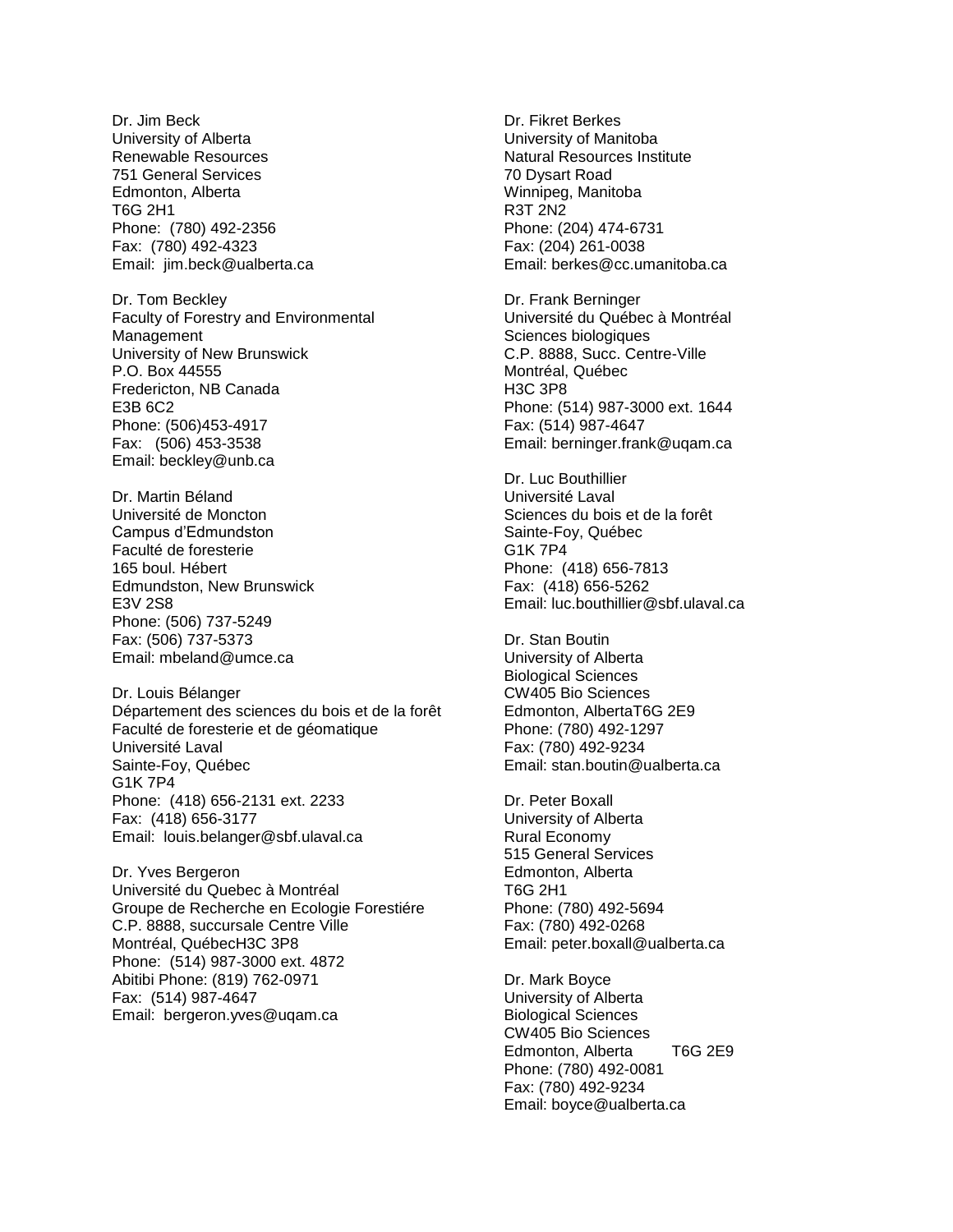Dr. Jim Beck University of Alberta Renewable Resources 751 General Services Edmonton, Alberta T6G 2H1 Phone: (780) 492-2356 Fax: (780) 492-4323 Email: jim.beck@ualberta.ca

Dr. Tom Beckley Faculty of Forestry and Environmental Management University of New Brunswick P.O. Box 44555 Fredericton, NB Canada E3B 6C2 Phone: (506)453-4917 Fax: (506) 453-3538 Email: beckley@unb.ca

Dr. Martin Béland Université de Moncton Campus d'Edmundston Faculté de foresterie 165 boul. Hébert Edmundston, New Brunswick E3V 2S8 Phone: (506) 737-5249 Fax: (506) 737-5373 Email: mbeland@umce.ca

Dr. Louis Bélanger Département des sciences du bois et de la forêt Faculté de foresterie et de géomatique Université Laval Sainte-Foy, Québec G1K 7P4 Phone: (418) 656-2131 ext. 2233 Fax: (418) 656-3177 Email: louis.belanger@sbf.ulaval.ca

Dr. Yves Bergeron Université du Quebec à Montréal Groupe de Recherche en Ecologie Forestiére C.P. 8888, succursale Centre Ville Montréal, QuébecH3C 3P8 Phone: (514) 987-3000 ext. 4872 Abitibi Phone: (819) 762-0971 Fax: (514) 987-4647 Email: bergeron.yves@uqam.ca

Dr. Fikret Berkes University of Manitoba Natural Resources Institute 70 Dysart Road Winnipeg, Manitoba R3T 2N2 Phone: (204) 474-6731 Fax: (204) 261-0038 Email: berkes@cc.umanitoba.ca

Dr. Frank Berninger Université du Québec à Montréal Sciences biologiques C.P. 8888, Succ. Centre-Ville Montréal, Québec H3C 3P8 Phone: (514) 987-3000 ext. 1644 Fax: (514) 987-4647 Email: berninger.frank@uqam.ca

Dr. Luc Bouthillier Université Laval Sciences du bois et de la forêt Sainte-Foy, Québec G1K 7P4 Phone: (418) 656-7813 Fax: (418) 656-5262 Email: luc.bouthillier@sbf.ulaval.ca

Dr. Stan Boutin University of Alberta Biological Sciences CW405 Bio Sciences Edmonton, AlbertaT6G 2E9 Phone: (780) 492-1297 Fax: (780) 492-9234 Email: stan.boutin@ualberta.ca

Dr. Peter Boxall University of Alberta Rural Economy 515 General Services Edmonton, Alberta T6G 2H1 Phone: (780) 492-5694 Fax: (780) 492-0268 Email: peter.boxall@ualberta.ca

Dr. Mark Boyce University of Alberta Biological Sciences CW405 Bio Sciences Edmonton, Alberta T6G 2E9 Phone: (780) 492-0081 Fax: (780) 492-9234 Email: boyce@ualberta.ca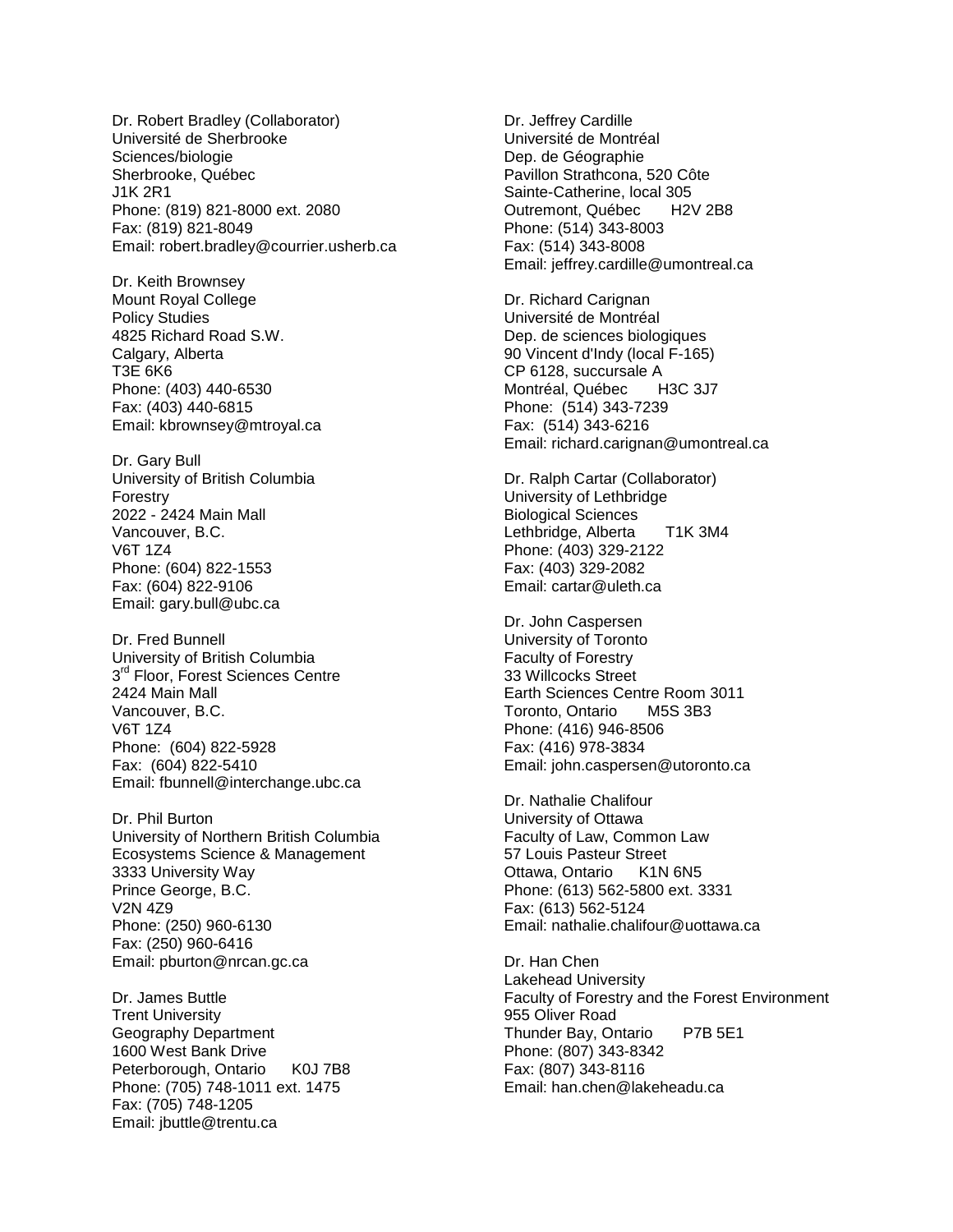Dr. Robert Bradley (Collaborator) Université de Sherbrooke Sciences/biologie Sherbrooke, Québec J1K 2R1 Phone: (819) 821-8000 ext. 2080 Fax: (819) 821-8049 Email: robert.bradley@courrier.usherb.ca

Dr. Keith Brownsey Mount Royal College Policy Studies 4825 Richard Road S.W. Calgary, Alberta T3E 6K6 Phone: (403) 440-6530 Fax: (403) 440-6815 Email: kbrownsey@mtroyal.ca

Dr. Gary Bull University of British Columbia Forestry 2022 - 2424 Main Mall Vancouver, B.C. V6T 1Z4 Phone: (604) 822-1553 Fax: (604) 822-9106 Email: gary.bull@ubc.ca

Dr. Fred Bunnell University of British Columbia 3<sup>rd</sup> Floor, Forest Sciences Centre 2424 Main Mall Vancouver, B.C. V6T 1Z4 Phone: (604) 822-5928 Fax: (604) 822-5410 Email: fbunnell@interchange.ubc.ca

Dr. Phil Burton University of Northern British Columbia Ecosystems Science & Management 3333 University Way Prince George, B.C. V2N 4Z9 Phone: (250) 960-6130 Fax: (250) 960-6416 Email: pburton@nrcan.gc.ca

Dr. James Buttle Trent University Geography Department 1600 West Bank Drive Peterborough, Ontario K0J 7B8 Phone: (705) 748-1011 ext. 1475 Fax: (705) 748-1205 Email: jbuttle@trentu.ca

Dr. Jeffrey Cardille Université de Montréal Dep. de Géographie Pavillon Strathcona, 520 Côte Sainte-Catherine, local 305 Outremont, Québec H2V 2B8 Phone: (514) 343-8003 Fax: (514) 343-8008 Email: jeffrey.cardille@umontreal.ca

Dr. Richard Carignan Université de Montréal Dep. de sciences biologiques 90 Vincent d'Indy (local F-165) CP 6128, succursale A Montréal, Québec H3C 3J7 Phone: (514) 343-7239 Fax: (514) 343-6216 Email: richard.carignan@umontreal.ca

Dr. Ralph Cartar (Collaborator) University of Lethbridge Biological Sciences Lethbridge, Alberta T1K 3M4 Phone: (403) 329-2122 Fax: (403) 329-2082 Email: cartar@uleth.ca

Dr. John Caspersen University of Toronto Faculty of Forestry 33 Willcocks Street Earth Sciences Centre Room 3011 Toronto, Ontario M5S 3B3 Phone: (416) 946-8506 Fax: (416) 978-3834 Email: john.caspersen@utoronto.ca

Dr. Nathalie Chalifour University of Ottawa Faculty of Law, Common Law 57 Louis Pasteur Street Ottawa, Ontario K1N 6N5 Phone: (613) 562-5800 ext. 3331 Fax: (613) 562-5124 Email: nathalie.chalifour@uottawa.ca

Dr. Han Chen Lakehead University Faculty of Forestry and the Forest Environment 955 Oliver Road Thunder Bay, Ontario P7B 5E1 Phone: (807) 343-8342 Fax: (807) 343-8116 Email: han.chen@lakeheadu.ca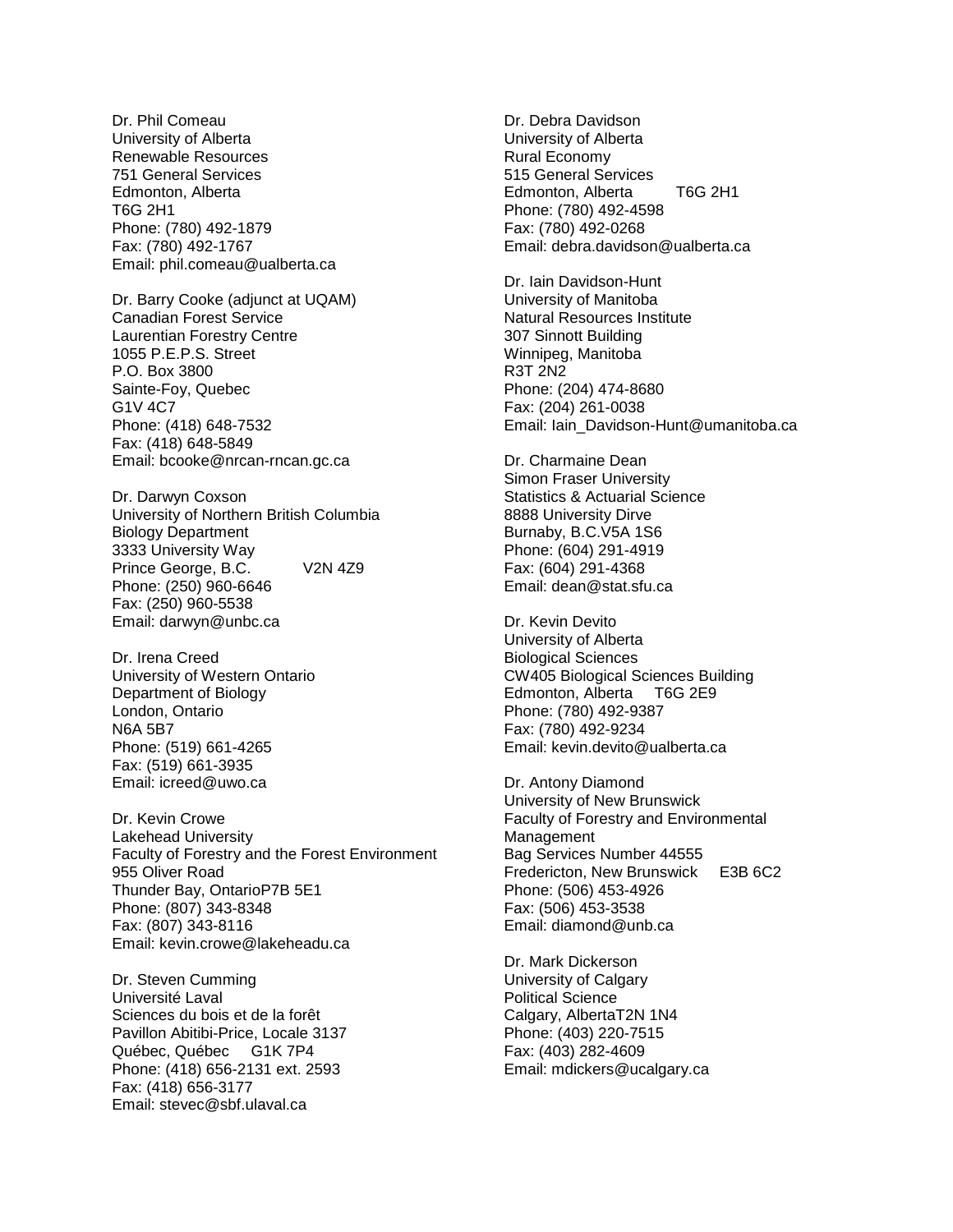Dr. Phil Comeau University of Alberta Renewable Resources 751 General Services Edmonton, Alberta T6G 2H1 Phone: (780) 492-1879 Fax: (780) 492-1767 Email: phil.comeau@ualberta.ca

Dr. Barry Cooke (adjunct at UQAM) Canadian Forest Service Laurentian Forestry Centre 1055 P.E.P.S. Street P.O. Box 3800 Sainte-Foy, Quebec G1V 4C7 Phone: (418) 648-7532 Fax: (418) 648-5849 Email: bcooke@nrcan-rncan.gc.ca

Dr. Darwyn Coxson University of Northern British Columbia Biology Department 3333 University Way Prince George, B.C. V2N 4Z9 Phone: (250) 960-6646 Fax: (250) 960-5538 Email: darwyn@unbc.ca

Dr. Irena Creed University of Western Ontario Department of Biology London, Ontario N6A 5B7 Phone: (519) 661-4265 Fax: (519) 661-3935 Email: icreed@uwo.ca

Dr. Kevin Crowe Lakehead University Faculty of Forestry and the Forest Environment 955 Oliver Road Thunder Bay, OntarioP7B 5E1 Phone: (807) 343-8348 Fax: (807) 343-8116 Email: kevin.crowe@lakeheadu.ca

Dr. Steven Cumming Université Laval Sciences du bois et de la forêt Pavillon Abitibi-Price, Locale 3137 Québec, Québec G1K 7P4 Phone: (418) 656-2131 ext. 2593 Fax: (418) 656-3177 Email: stevec@sbf.ulaval.ca

Dr. Debra Davidson University of Alberta Rural Economy 515 General Services Edmonton, Alberta T6G 2H1 Phone: (780) 492-4598 Fax: (780) 492-0268 Email: debra.davidson@ualberta.ca

Dr. Iain Davidson-Hunt University of Manitoba Natural Resources Institute 307 Sinnott Building Winnipeg, Manitoba R3T 2N2 Phone: (204) 474-8680 Fax: (204) 261-0038 Email: Iain\_Davidson-Hunt@umanitoba.ca

Dr. Charmaine Dean Simon Fraser University Statistics & Actuarial Science 8888 University Dirve Burnaby, B.C.V5A 1S6 Phone: (604) 291-4919 Fax: (604) 291-4368 Email: dean@stat.sfu.ca

Dr. Kevin Devito University of Alberta Biological Sciences CW405 Biological Sciences Building Edmonton, Alberta T6G 2E9 Phone: (780) 492-9387 Fax: (780) 492-9234 Email: kevin.devito@ualberta.ca

Dr. Antony Diamond University of New Brunswick Faculty of Forestry and Environmental Management Bag Services Number 44555 Fredericton, New Brunswick E3B 6C2 Phone: (506) 453-4926 Fax: (506) 453-3538 Email: diamond@unb.ca

Dr. Mark Dickerson University of Calgary Political Science Calgary, AlbertaT2N 1N4 Phone: (403) 220-7515 Fax: (403) 282-4609 Email: mdickers@ucalgary.ca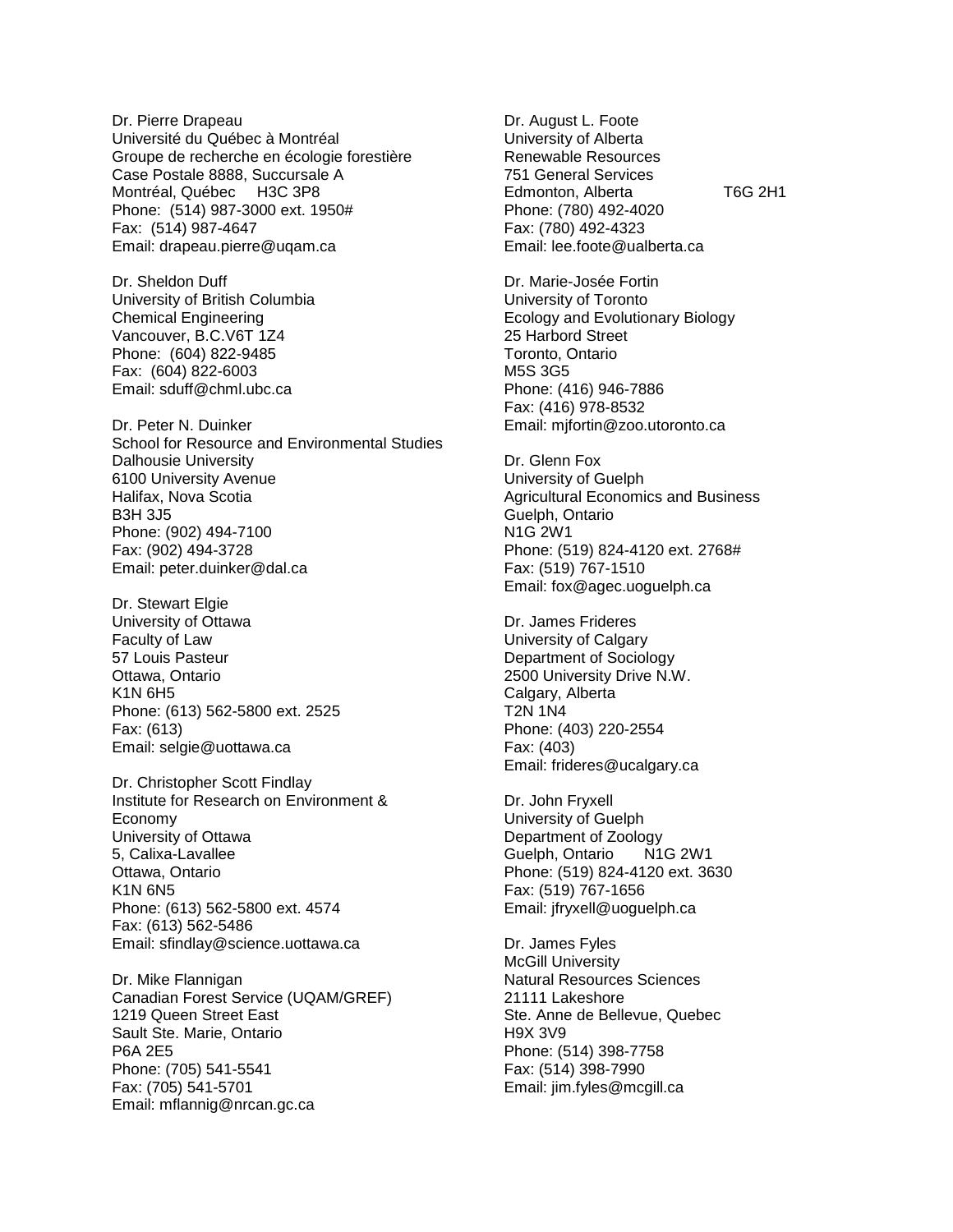Dr. Pierre Drapeau Université du Québec à Montréal Groupe de recherche en écologie forestière Case Postale 8888, Succursale A Montréal, Québec H3C 3P8 Phone: (514) 987-3000 ext. 1950# Fax: (514) 987-4647 Email: drapeau.pierre@uqam.ca

Dr. Sheldon Duff University of British Columbia Chemical Engineering Vancouver, B.C.V6T 1Z4 Phone: (604) 822-9485 Fax: (604) 822-6003 Email: sduff@chml.ubc.ca

Dr. Peter N. Duinker School for Resource and Environmental Studies Dalhousie University 6100 University Avenue Halifax, Nova Scotia B3H 3J5 Phone: (902) 494-7100 Fax: (902) 494-3728 Email: peter.duinker@dal.ca

Dr. Stewart Elgie University of Ottawa Faculty of Law 57 Louis Pasteur Ottawa, Ontario K1N 6H5 Phone: (613) 562-5800 ext. 2525 Fax: (613) Email: selgie@uottawa.ca

Dr. Christopher Scott Findlay Institute for Research on Environment & Economy University of Ottawa 5, Calixa-Lavallee Ottawa, Ontario K1N 6N5 Phone: (613) 562-5800 ext. 4574 Fax: (613) 562-5486 Email: sfindlay@science.uottawa.ca

Dr. Mike Flannigan Canadian Forest Service (UQAM/GREF) 1219 Queen Street East Sault Ste. Marie, Ontario P6A 2E5 Phone: (705) 541-5541 Fax: (705) 541-5701 Email: mflannig@nrcan.gc.ca

Dr. August L. Foote University of Alberta Renewable Resources 751 General Services Edmonton, Alberta T6G 2H1 Phone: (780) 492-4020 Fax: (780) 492-4323 Email: lee.foote@ualberta.ca

Dr. Marie-Josée Fortin University of Toronto Ecology and Evolutionary Biology 25 Harbord Street Toronto, Ontario M5S 3G5 Phone: (416) 946-7886 Fax: (416) 978-8532 Email: mjfortin@zoo.utoronto.ca

Dr. Glenn Fox University of Guelph Agricultural Economics and Business Guelph, Ontario N1G 2W1 Phone: (519) 824-4120 ext. 2768# Fax: (519) 767-1510 Email: fox@agec.uoguelph.ca

Dr. James Frideres University of Calgary Department of Sociology 2500 University Drive N.W. Calgary, Alberta T2N 1N4 Phone: (403) 220-2554 Fax: (403) Email: frideres@ucalgary.ca

Dr. John Fryxell University of Guelph Department of Zoology Guelph, Ontario N1G 2W1 Phone: (519) 824-4120 ext. 3630 Fax: (519) 767-1656 Email: jfryxell@uoguelph.ca

Dr. James Fyles McGill University Natural Resources Sciences 21111 Lakeshore Ste. Anne de Bellevue, Quebec H9X 3V9 Phone: (514) 398-7758 Fax: (514) 398-7990 Email: jim.fyles@mcgill.ca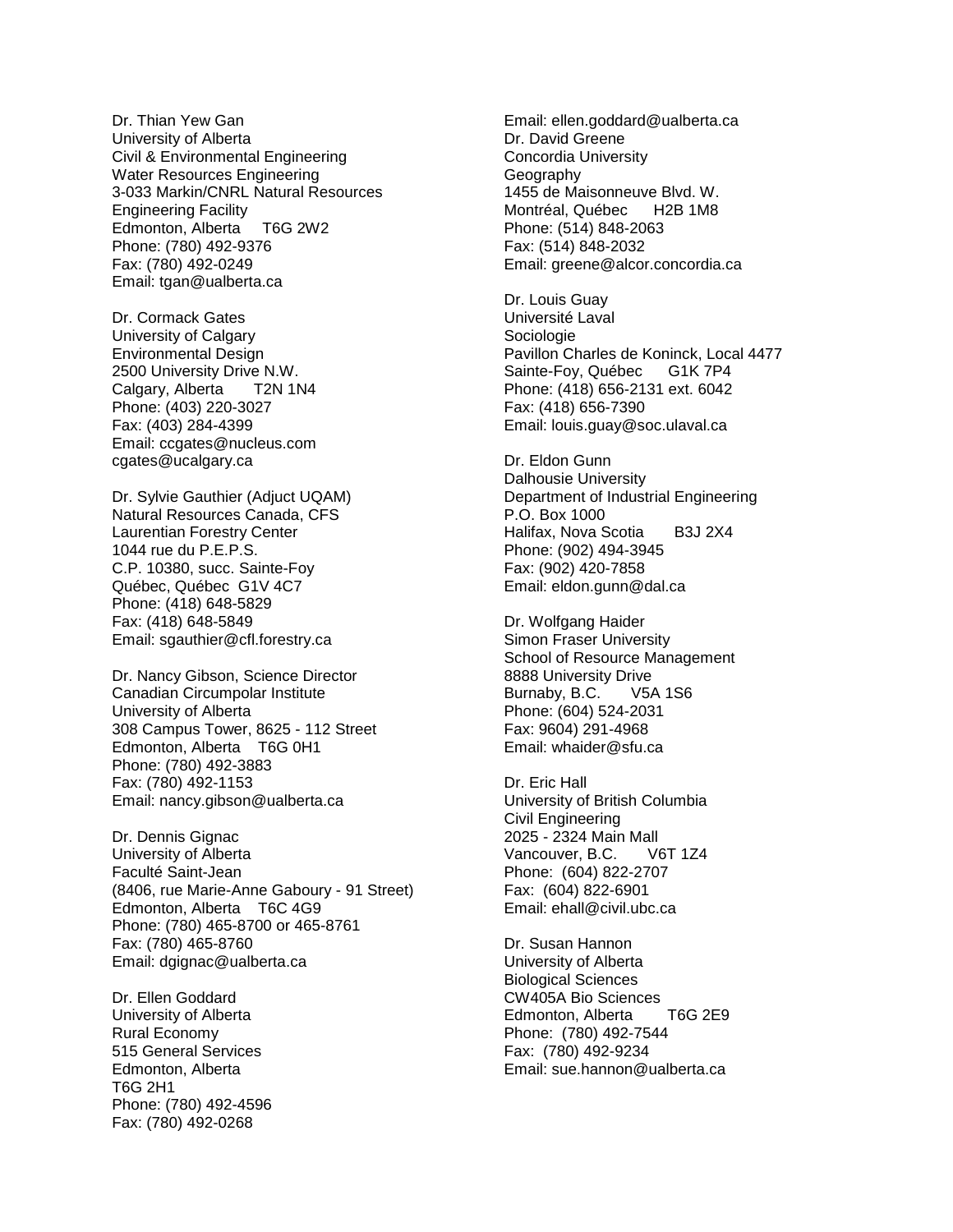Dr. Thian Yew Gan University of Alberta Civil & Environmental Engineering Water Resources Engineering 3-033 Markin/CNRL Natural Resources Engineering Facility Edmonton, Alberta T6G 2W2 Phone: (780) 492-9376 Fax: (780) 492-0249 Email: tgan@ualberta.ca

Dr. Cormack Gates University of Calgary Environmental Design 2500 University Drive N.W. Calgary, Alberta T2N 1N4 Phone: (403) 220-3027 Fax: (403) 284-4399 Email: ccgates@nucleus.com cgates@ucalgary.ca

Dr. Sylvie Gauthier (Adjuct UQAM) Natural Resources Canada, CFS Laurentian Forestry Center 1044 rue du P.E.P.S. C.P. 10380, succ. Sainte-Foy Québec, Québec G1V 4C7 Phone: (418) 648-5829 Fax: (418) 648-5849 Email: sgauthier@cfl.forestry.ca

Dr. Nancy Gibson, Science Director Canadian Circumpolar Institute University of Alberta 308 Campus Tower, 8625 - 112 Street Edmonton, Alberta T6G 0H1 Phone: (780) 492-3883 Fax: (780) 492-1153 Email: nancy.gibson@ualberta.ca

Dr. Dennis Gignac University of Alberta Faculté Saint-Jean (8406, rue Marie-Anne Gaboury - 91 Street) Edmonton, Alberta T6C 4G9 Phone: (780) 465-8700 or 465-8761 Fax: (780) 465-8760 Email: dgignac@ualberta.ca

Dr. Ellen Goddard University of Alberta Rural Economy 515 General Services Edmonton, Alberta T6G 2H1 Phone: (780) 492-4596 Fax: (780) 492-0268

Email: ellen.goddard@ualberta.ca Dr. David Greene Concordia University **Geography** 1455 de Maisonneuve Blvd. W. Montréal, Québec H2B 1M8 Phone: (514) 848-2063 Fax: (514) 848-2032 Email: greene@alcor.concordia.ca

Dr. Louis Guay Université Laval Sociologie Pavillon Charles de Koninck, Local 4477 Sainte-Foy, Québec G1K 7P4 Phone: (418) 656-2131 ext. 6042 Fax: (418) 656-7390 Email: louis.guay@soc.ulaval.ca

Dr. Eldon Gunn Dalhousie University Department of Industrial Engineering P.O. Box 1000 Halifax, Nova Scotia B3J 2X4 Phone: (902) 494-3945 Fax: (902) 420-7858 Email: eldon.gunn@dal.ca

Dr. Wolfgang Haider Simon Fraser University School of Resource Management 8888 University Drive Burnaby, B.C. V5A 1S6 Phone: (604) 524-2031 Fax: 9604) 291-4968 Email: whaider@sfu.ca

Dr. Eric Hall University of British Columbia Civil Engineering 2025 - 2324 Main Mall Vancouver, B.C. V6T 1Z4 Phone: (604) 822-2707 Fax: (604) 822-6901 Email: ehall@civil.ubc.ca

Dr. Susan Hannon University of Alberta Biological Sciences CW405A Bio Sciences Edmonton, Alberta T6G 2E9 Phone: (780) 492-7544 Fax: (780) 492-9234 Email: sue.hannon@ualberta.ca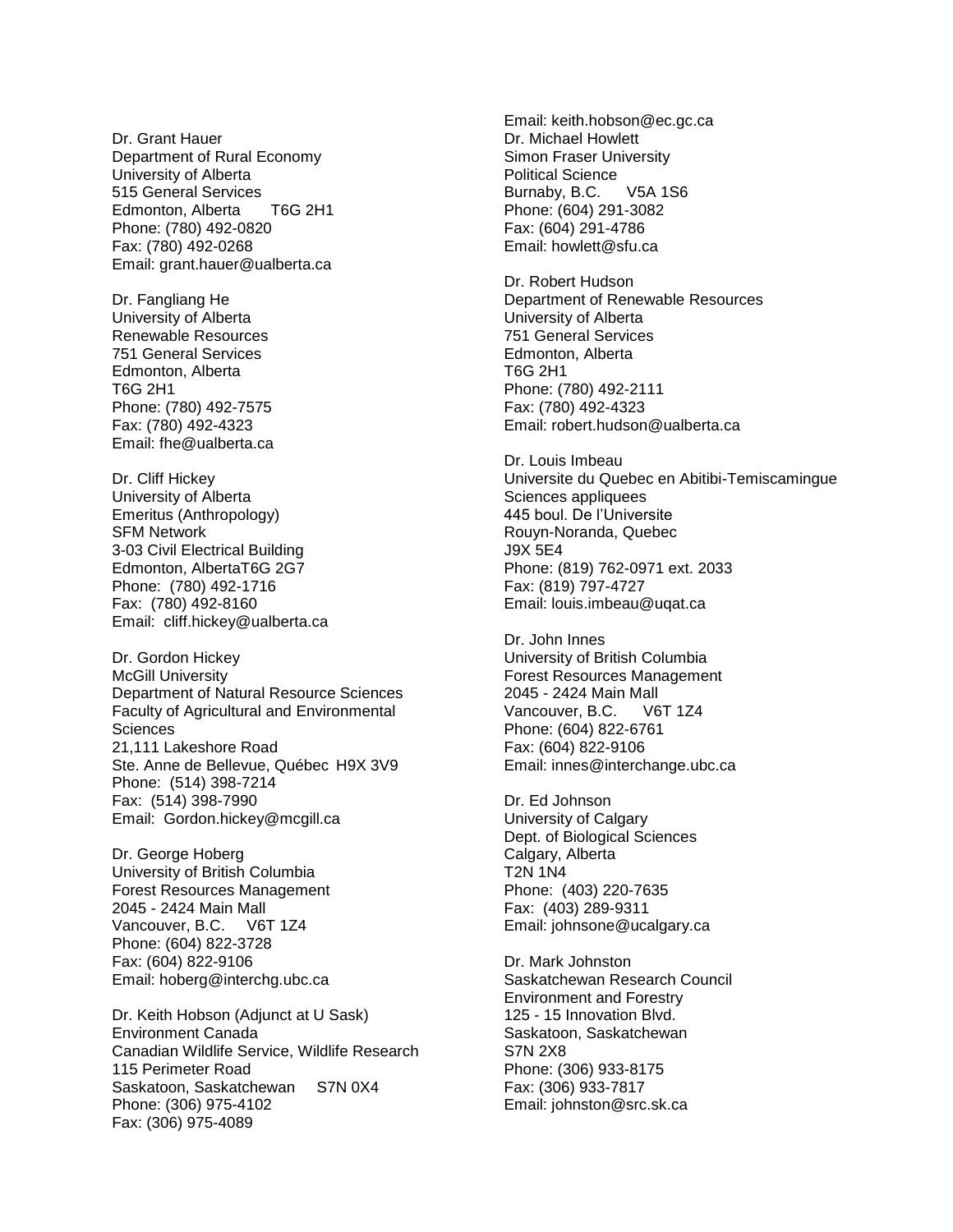Dr. Grant Hauer Department of Rural Economy University of Alberta 515 General Services Edmonton, Alberta T6G 2H1 Phone: (780) 492-0820 Fax: (780) 492-0268 Email: grant.hauer@ualberta.ca

Dr. Fangliang He University of Alberta Renewable Resources 751 General Services Edmonton, Alberta T6G 2H1 Phone: (780) 492-7575 Fax: (780) 492-4323 Email: fhe@ualberta.ca

Dr. Cliff Hickey University of Alberta Emeritus (Anthropology) SFM Network 3-03 Civil Electrical Building Edmonton, AlbertaT6G 2G7 Phone: (780) 492-1716 Fax: (780) 492-8160 Email: cliff.hickey@ualberta.ca

Dr. Gordon Hickey McGill University Department of Natural Resource Sciences Faculty of Agricultural and Environmental **Sciences** 21,111 Lakeshore Road Ste. Anne de Bellevue, Québec H9X 3V9 Phone: (514) 398-7214 Fax: (514) 398-7990 Email: Gordon.hickey@mcgill.ca

Dr. George Hoberg University of British Columbia Forest Resources Management 2045 - 2424 Main Mall Vancouver, B.C. V6T 1Z4 Phone: (604) 822-3728 Fax: (604) 822-9106 Email: hoberg@interchg.ubc.ca

Dr. Keith Hobson (Adjunct at U Sask) Environment Canada Canadian Wildlife Service, Wildlife Research 115 Perimeter Road Saskatoon, Saskatchewan S7N 0X4 Phone: (306) 975-4102 Fax: (306) 975-4089

Email: keith.hobson@ec.gc.ca Dr. Michael Howlett Simon Fraser University Political Science Burnaby, B.C. V5A 1S6 Phone: (604) 291-3082 Fax: (604) 291-4786 Email: howlett@sfu.ca

Dr. Robert Hudson Department of Renewable Resources University of Alberta 751 General Services Edmonton, Alberta T6G 2H1 Phone: (780) 492-2111 Fax: (780) 492-4323 Email: robert.hudson@ualberta.ca

Dr. Louis Imbeau Universite du Quebec en Abitibi-Temiscamingue Sciences appliquees 445 boul. De l'Universite Rouyn-Noranda, Quebec J9X 5E4 Phone: (819) 762-0971 ext. 2033 Fax: (819) 797-4727 Email: louis.imbeau@uqat.ca

Dr. John Innes University of British Columbia Forest Resources Management 2045 - 2424 Main Mall Vancouver, B.C. V6T 1Z4 Phone: (604) 822-6761 Fax: (604) 822-9106 Email: innes@interchange.ubc.ca

Dr. Ed Johnson University of Calgary Dept. of Biological Sciences Calgary, Alberta T2N 1N4 Phone: (403) 220-7635 Fax: (403) 289-9311 Email: johnsone@ucalgary.ca

Dr. Mark Johnston Saskatchewan Research Council Environment and Forestry 125 - 15 Innovation Blvd. Saskatoon, Saskatchewan S7N 2X8 Phone: (306) 933-8175 Fax: (306) 933-7817 Email: johnston@src.sk.ca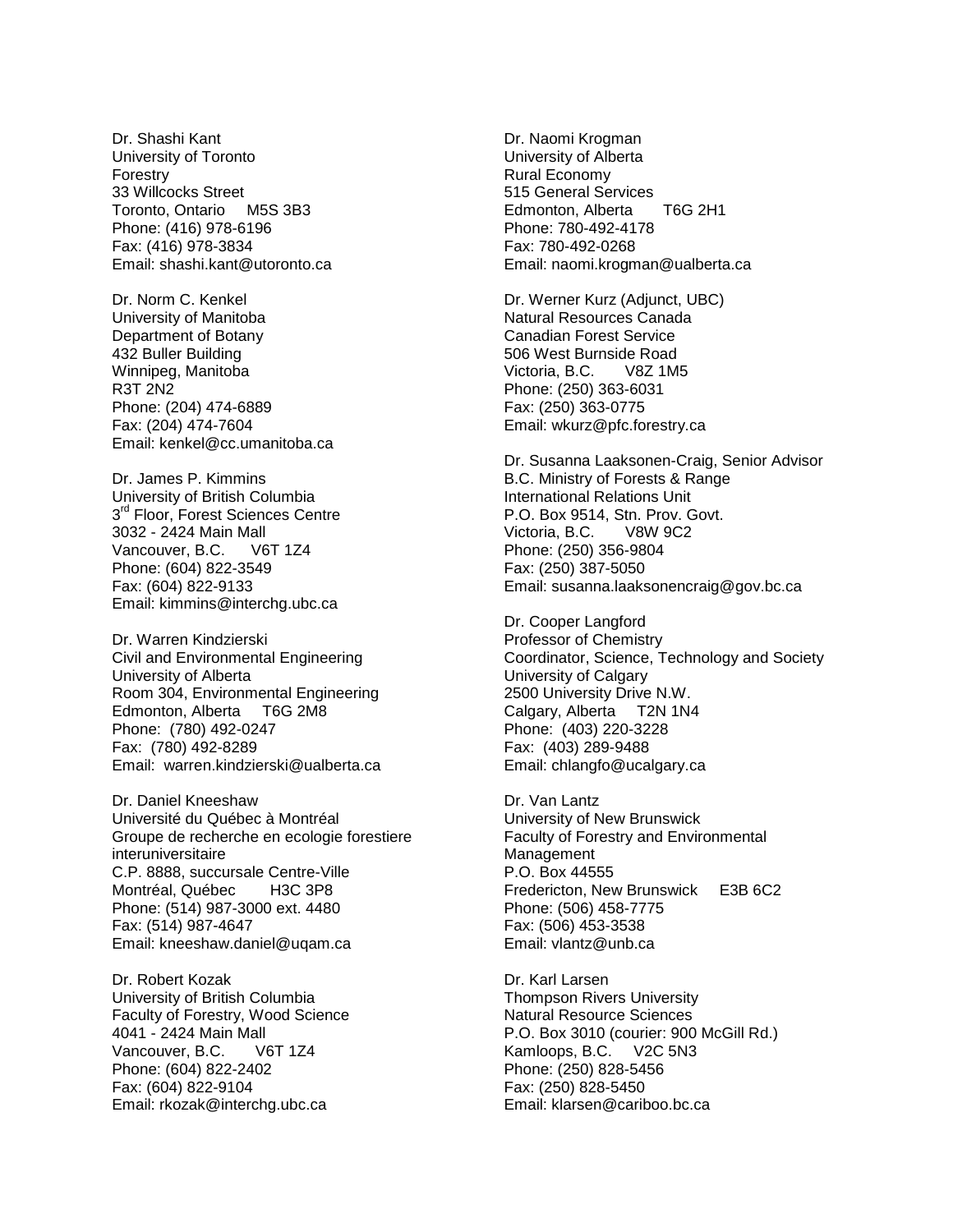Dr. Shashi Kant University of Toronto Forestry 33 Willcocks Street Toronto, Ontario M5S 3B3 Phone: (416) 978-6196 Fax: (416) 978-3834 Email: shashi.kant@utoronto.ca

Dr. Norm C. Kenkel University of Manitoba Department of Botany 432 Buller Building Winnipeg, Manitoba R3T 2N2 Phone: (204) 474-6889 Fax: (204) 474-7604 Email: kenkel@cc.umanitoba.ca

Dr. James P. Kimmins University of British Columbia 3<sup>rd</sup> Floor, Forest Sciences Centre 3032 - 2424 Main Mall Vancouver, B.C. Phone: (604) 822-3549 Fax: (604) 822-9133 Email: kimmins@interchg.ubc.ca

Dr. Warren Kindzierski Civil and Environmental Engineering University of Alberta Room 304, Environmental Engineering Edmonton, Alberta T6G 2M8 Phone: (780) 492-0247 Fax: (780) 492-8289 Email: warren.kindzierski@ualberta.ca

Dr. Daniel Kneeshaw Université du Québec à Montréal Groupe de recherche en ecologie forestiere interuniversitaire C.P. 8888, succursale Centre-Ville Montréal, Québec H3C 3P8 Phone: (514) 987-3000 ext. 4480 Fax: (514) 987-4647 Email: kneeshaw.daniel@uqam.ca

Dr. Robert Kozak University of British Columbia Faculty of Forestry, Wood Science 4041 - 2424 Main Mall Vancouver, B.C. V6T 1Z4 Phone: (604) 822-2402 Fax: (604) 822-9104 Email: rkozak@interchg.ubc.ca

Dr. Naomi Krogman University of Alberta Rural Economy 515 General Services Edmonton, Alberta T6G 2H1 Phone: 780-492-4178 Fax: 780-492-0268 Email: naomi.krogman@ualberta.ca

Dr. Werner Kurz (Adjunct, UBC) Natural Resources Canada Canadian Forest Service 506 West Burnside Road Victoria, B.C. V8Z 1M5 Phone: (250) 363-6031 Fax: (250) 363-0775 Email: wkurz@pfc.forestry.ca

Dr. Susanna Laaksonen-Craig, Senior Advisor B.C. Ministry of Forests & Range International Relations Unit P.O. Box 9514, Stn. Prov. Govt. Victoria, B.C. V8W 9C2 Phone: (250) 356-9804 Fax: (250) 387-5050 Email: susanna.laaksonencraig@gov.bc.ca

Dr. Cooper Langford Professor of Chemistry Coordinator, Science, Technology and Society University of Calgary 2500 University Drive N.W. Calgary, Alberta T2N 1N4 Phone: (403) 220-3228 Fax: (403) 289-9488 Email: chlangfo@ucalgary.ca

Dr. Van Lantz University of New Brunswick Faculty of Forestry and Environmental Management P.O. Box 44555 Fredericton, New Brunswick E3B 6C2 Phone: (506) 458-7775 Fax: (506) 453-3538 Email: vlantz@unb.ca

Dr. Karl Larsen Thompson Rivers University Natural Resource Sciences P.O. Box 3010 (courier: 900 McGill Rd.) Kamloops, B.C. V2C 5N3 Phone: (250) 828-5456 Fax: (250) 828-5450 Email: klarsen@cariboo.bc.ca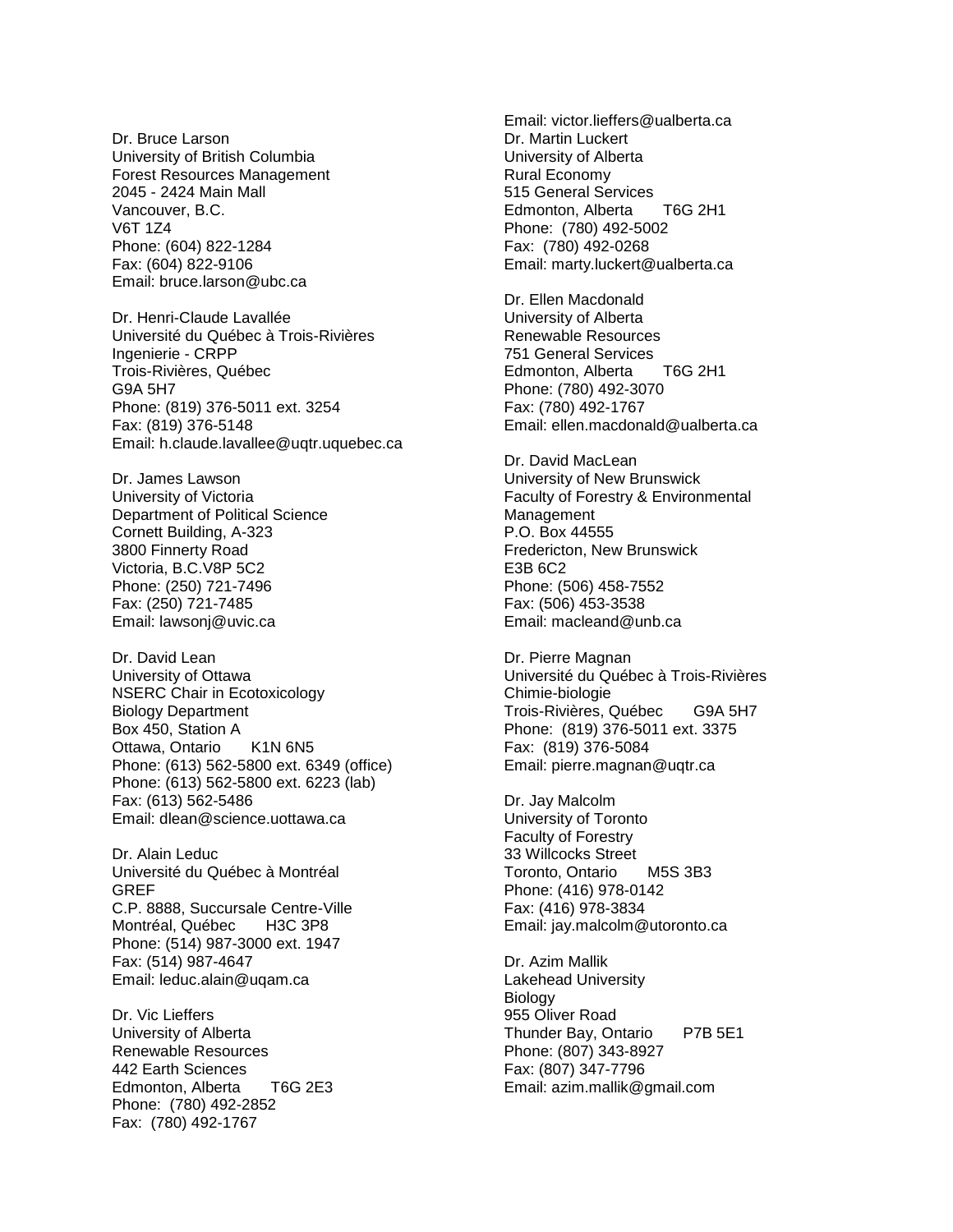Dr. Bruce Larson University of British Columbia Forest Resources Management 2045 - 2424 Main Mall Vancouver, B.C. V6T 1Z4 Phone: (604) 822-1284 Fax: (604) 822-9106 Email: bruce.larson@ubc.ca

Dr. Henri-Claude Lavallée Université du Québec à Trois-Rivières Ingenierie - CRPP Trois-Rivières, Québec G9A 5H7 Phone: (819) 376-5011 ext. 3254 Fax: (819) 376-5148 Email: h.claude.lavallee@uqtr.uquebec.ca

Dr. James Lawson University of Victoria Department of Political Science Cornett Building, A-323 3800 Finnerty Road Victoria, B.C.V8P 5C2 Phone: (250) 721-7496 Fax: (250) 721-7485 Email: lawsonj@uvic.ca

Dr. David Lean University of Ottawa NSERC Chair in Ecotoxicology Biology Department Box 450, Station A Ottawa, Ontario K1N 6N5 Phone: (613) 562-5800 ext. 6349 (office) Phone: (613) 562-5800 ext. 6223 (lab) Fax: (613) 562-5486 Email: dlean@science.uottawa.ca

Dr. Alain Leduc Université du Québec à Montréal GREF C.P. 8888, Succursale Centre-Ville Montréal, Québec H3C 3P8 Phone: (514) 987-3000 ext. 1947 Fax: (514) 987-4647 Email: leduc.alain@uqam.ca

Dr. Vic Lieffers University of Alberta Renewable Resources 442 Earth Sciences Edmonton, Alberta T6G 2E3 Phone: (780) 492-2852 Fax: (780) 492-1767

Email: victor.lieffers@ualberta.ca Dr. Martin Luckert University of Alberta Rural Economy 515 General Services Edmonton, Alberta T6G 2H1 Phone: (780) 492-5002 Fax: (780) 492-0268 Email: marty.luckert@ualberta.ca

Dr. Ellen Macdonald University of Alberta Renewable Resources 751 General Services Edmonton, Alberta T6G 2H1 Phone: (780) 492-3070 Fax: (780) 492-1767 Email: ellen.macdonald@ualberta.ca

Dr. David MacLean University of New Brunswick Faculty of Forestry & Environmental Management P.O. Box 44555 Fredericton, New Brunswick E3B 6C2 Phone: (506) 458-7552 Fax: (506) 453-3538 Email: macleand@unb.ca

Dr. Pierre Magnan Université du Québec à Trois-Rivières Chimie-biologie Trois-Rivières, Québec G9A 5H7 Phone: (819) 376-5011 ext. 3375 Fax: (819) 376-5084 Email: pierre.magnan@uqtr.ca

Dr. Jay Malcolm University of Toronto Faculty of Forestry 33 Willcocks Street Toronto, Ontario M5S 3B3 Phone: (416) 978-0142 Fax: (416) 978-3834 Email: jay.malcolm@utoronto.ca

Dr. Azim Mallik Lakehead University **Biology** 955 Oliver Road Thunder Bay, Ontario P7B 5E1 Phone: (807) 343-8927 Fax: (807) 347-7796 Email: azim.mallik@gmail.com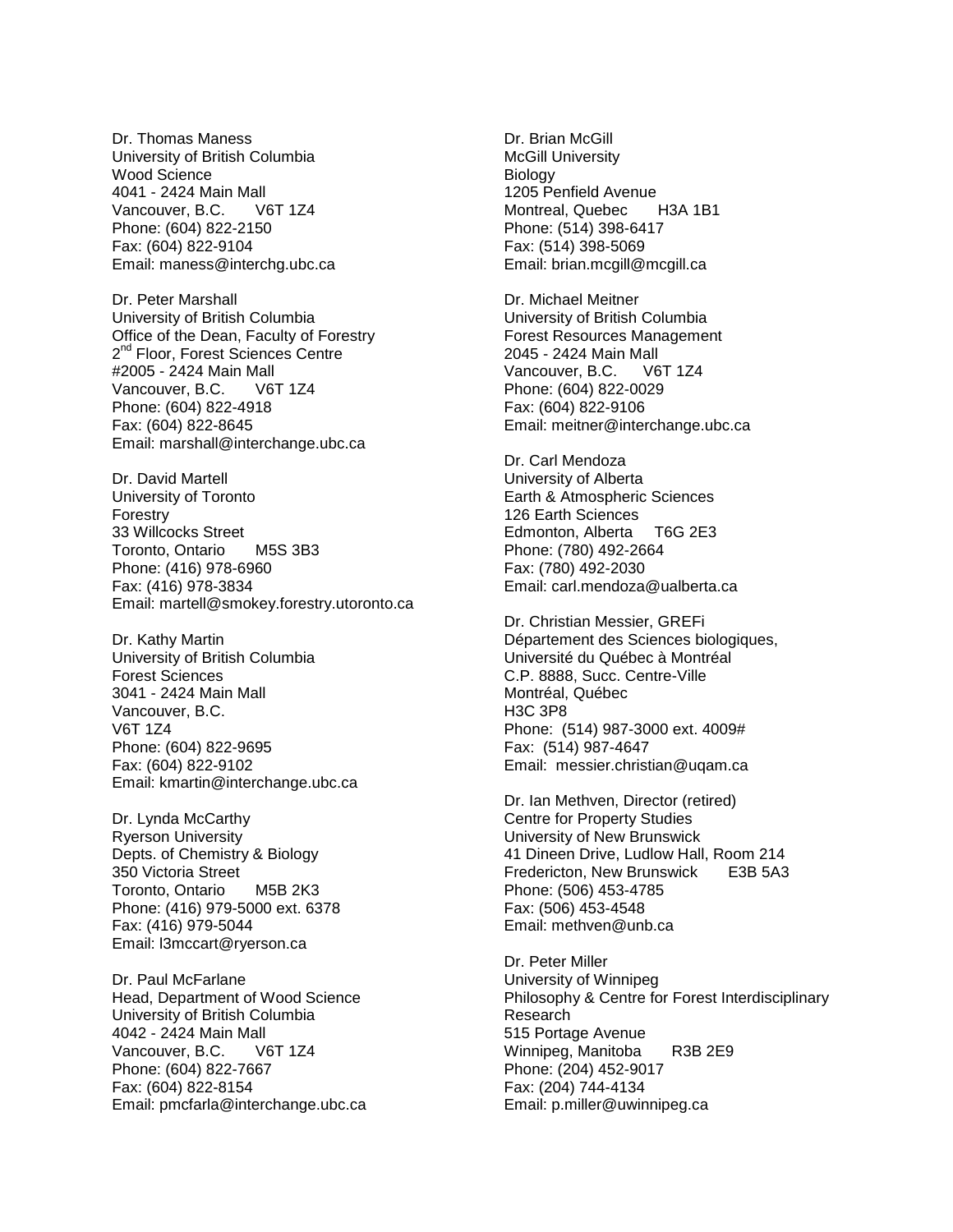Dr. Thomas Maness University of British Columbia Wood Science 4041 - 2424 Main Mall Vancouver, B.C. V6T 1Z4 Phone: (604) 822-2150 Fax: (604) 822-9104 Email: maness@interchg.ubc.ca

Dr. Peter Marshall University of British Columbia Office of the Dean, Faculty of Forestry 2<sup>nd</sup> Floor, Forest Sciences Centre #2005 - 2424 Main Mall Vancouver, B.C. V6T 1Z4 Phone: (604) 822-4918 Fax: (604) 822-8645 Email: marshall@interchange.ubc.ca

Dr. David Martell University of Toronto Forestry 33 Willcocks Street Toronto, Ontario M5S 3B3 Phone: (416) 978-6960 Fax: (416) 978-3834 Email: martell@smokey.forestry.utoronto.ca

Dr. Kathy Martin University of British Columbia Forest Sciences 3041 - 2424 Main Mall Vancouver, B.C. V6T 1Z4 Phone: (604) 822-9695 Fax: (604) 822-9102 Email: kmartin@interchange.ubc.ca

Dr. Lynda McCarthy Ryerson University Depts. of Chemistry & Biology 350 Victoria Street Toronto, Ontario M5B 2K3 Phone: (416) 979-5000 ext. 6378 Fax: (416) 979-5044 Email: l3mccart@ryerson.ca

Dr. Paul McFarlane Head, Department of Wood Science University of British Columbia 4042 - 2424 Main Mall Vancouver, B.C. V6T 1Z4 Phone: (604) 822-7667 Fax: (604) 822-8154 Email: pmcfarla@interchange.ubc.ca Dr. Brian McGill McGill University **Biology** 1205 Penfield Avenue Montreal, Quebec H3A 1B1 Phone: (514) 398-6417 Fax: (514) 398-5069 Email: brian.mcgill@mcgill.ca

Dr. Michael Meitner University of British Columbia Forest Resources Management 2045 - 2424 Main Mall Vancouver, B.C. V6T 1Z4 Phone: (604) 822-0029 Fax: (604) 822-9106 Email: meitner@interchange.ubc.ca

Dr. Carl Mendoza University of Alberta Earth & Atmospheric Sciences 126 Earth Sciences Edmonton, Alberta T6G 2E3 Phone: (780) 492-2664 Fax: (780) 492-2030 Email: carl.mendoza@ualberta.ca

Dr. Christian Messier, GREFi Département des Sciences biologiques, Université du Québec à Montréal C.P. 8888, Succ. Centre-Ville Montréal, Québec H3C 3P8 Phone: (514) 987-3000 ext. 4009# Fax: (514) 987-4647 Email: messier.christian@uqam.ca

Dr. Ian Methven, Director (retired) Centre for Property Studies University of New Brunswick 41 Dineen Drive, Ludlow Hall, Room 214 Fredericton, New Brunswick E3B 5A3 Phone: (506) 453-4785 Fax: (506) 453-4548 Email: methven@unb.ca

Dr. Peter Miller University of Winnipeg Philosophy & Centre for Forest Interdisciplinary Research 515 Portage Avenue Winnipeg, Manitoba R3B 2E9 Phone: (204) 452-9017 Fax: (204) 744-4134 Email: p.miller@uwinnipeg.ca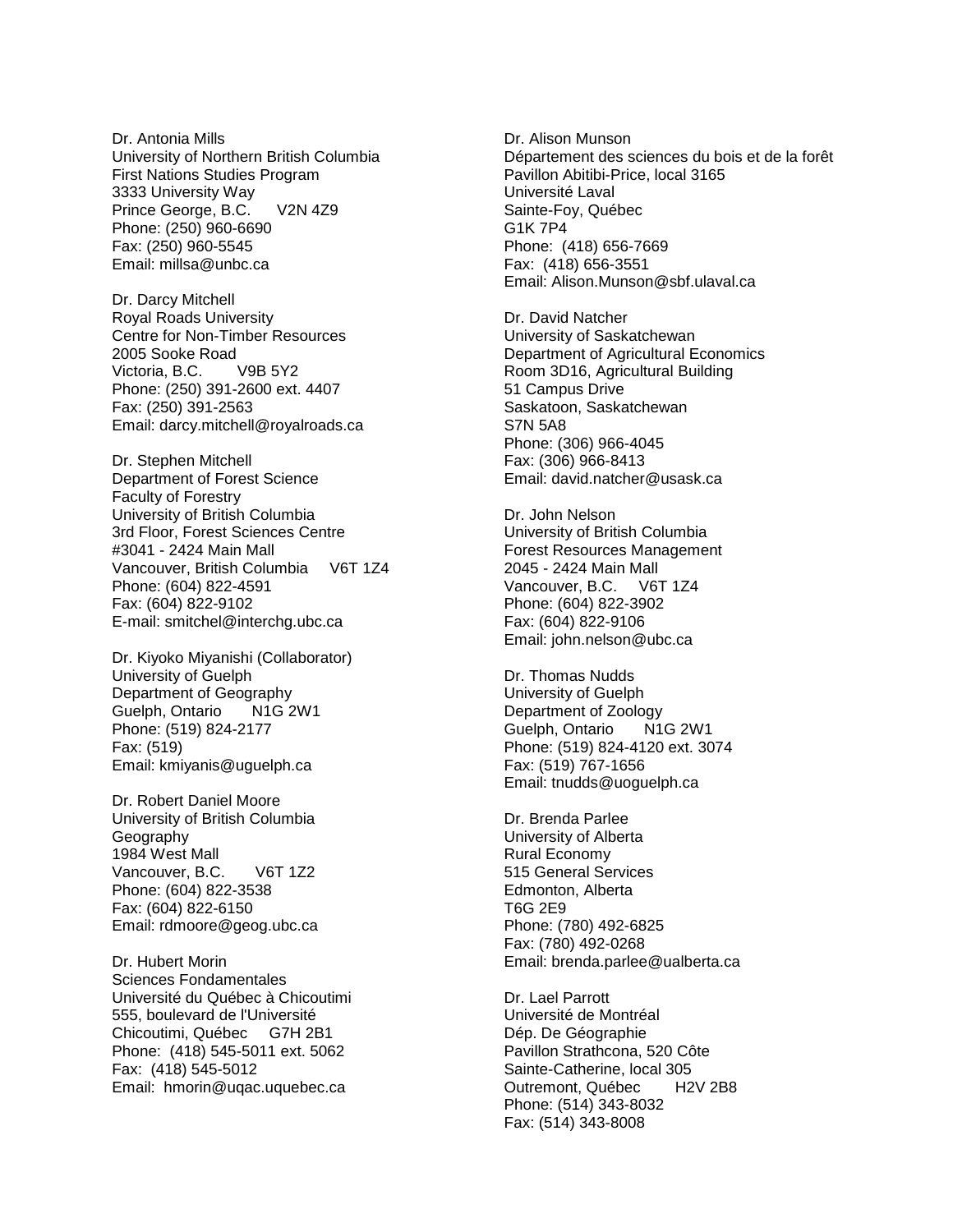Dr. Antonia Mills University of Northern British Columbia First Nations Studies Program 3333 University Way Prince George, B.C. V2N 4Z9 Phone: (250) 960-6690 Fax: (250) 960-5545 Email: millsa@unbc.ca

Dr. Darcy Mitchell Royal Roads University Centre for Non-Timber Resources 2005 Sooke Road Victoria, B.C. V9B 5Y2 Phone: (250) 391-2600 ext. 4407 Fax: (250) 391-2563 Email: darcy.mitchell@royalroads.ca

Dr. Stephen Mitchell Department of Forest Science Faculty of Forestry University of British Columbia 3rd Floor, Forest Sciences Centre #3041 - 2424 Main Mall Vancouver, British Columbia V6T 1Z4 Phone: (604) 822-4591 Fax: (604) 822-9102 E-mail: smitchel@interchg.ubc.ca

Dr. Kiyoko Miyanishi (Collaborator) University of Guelph Department of Geography Guelph, Ontario N1G 2W1 Phone: (519) 824-2177 Fax: (519) Email: kmiyanis@uguelph.ca

Dr. Robert Daniel Moore University of British Columbia Geography 1984 West Mall Vancouver, B.C. V6T 1Z2 Phone: (604) 822-3538 Fax: (604) 822-6150 Email: rdmoore@geog.ubc.ca

Dr. Hubert Morin Sciences Fondamentales Université du Québec à Chicoutimi 555, boulevard de l'Université Chicoutimi, Québec G7H 2B1 Phone: (418) 545-5011 ext. 5062 Fax: (418) 545-5012 Email: hmorin@uqac.uquebec.ca

Dr. Alison Munson Département des sciences du bois et de la forêt Pavillon Abitibi-Price, local 3165 Université Laval Sainte-Foy, Québec G1K 7P4 Phone: (418) 656-7669 Fax: (418) 656-3551 Email: Alison.Munson@sbf.ulaval.ca

Dr. David Natcher University of Saskatchewan Department of Agricultural Economics Room 3D16, Agricultural Building 51 Campus Drive Saskatoon, Saskatchewan S7N 5A8 Phone: (306) 966-4045 Fax: (306) 966-8413 Email: david.natcher@usask.ca

Dr. John Nelson University of British Columbia Forest Resources Management 2045 - 2424 Main Mall Vancouver, B.C. V6T 1Z4 Phone: (604) 822-3902 Fax: (604) 822-9106 Email: john.nelson@ubc.ca

Dr. Thomas Nudds University of Guelph Department of Zoology Guelph, Ontario N1G 2W1 Phone: (519) 824-4120 ext. 3074 Fax: (519) 767-1656 Email: tnudds@uoguelph.ca

Dr. Brenda Parlee University of Alberta Rural Economy 515 General Services Edmonton, Alberta T6G 2E9 Phone: (780) 492-6825 Fax: (780) 492-0268 Email: brenda.parlee@ualberta.ca

Dr. Lael Parrott Université de Montréal Dép. De Géographie Pavillon Strathcona, 520 Côte Sainte-Catherine, local 305 Outremont, Québec H2V 2B8 Phone: (514) 343-8032 Fax: (514) 343-8008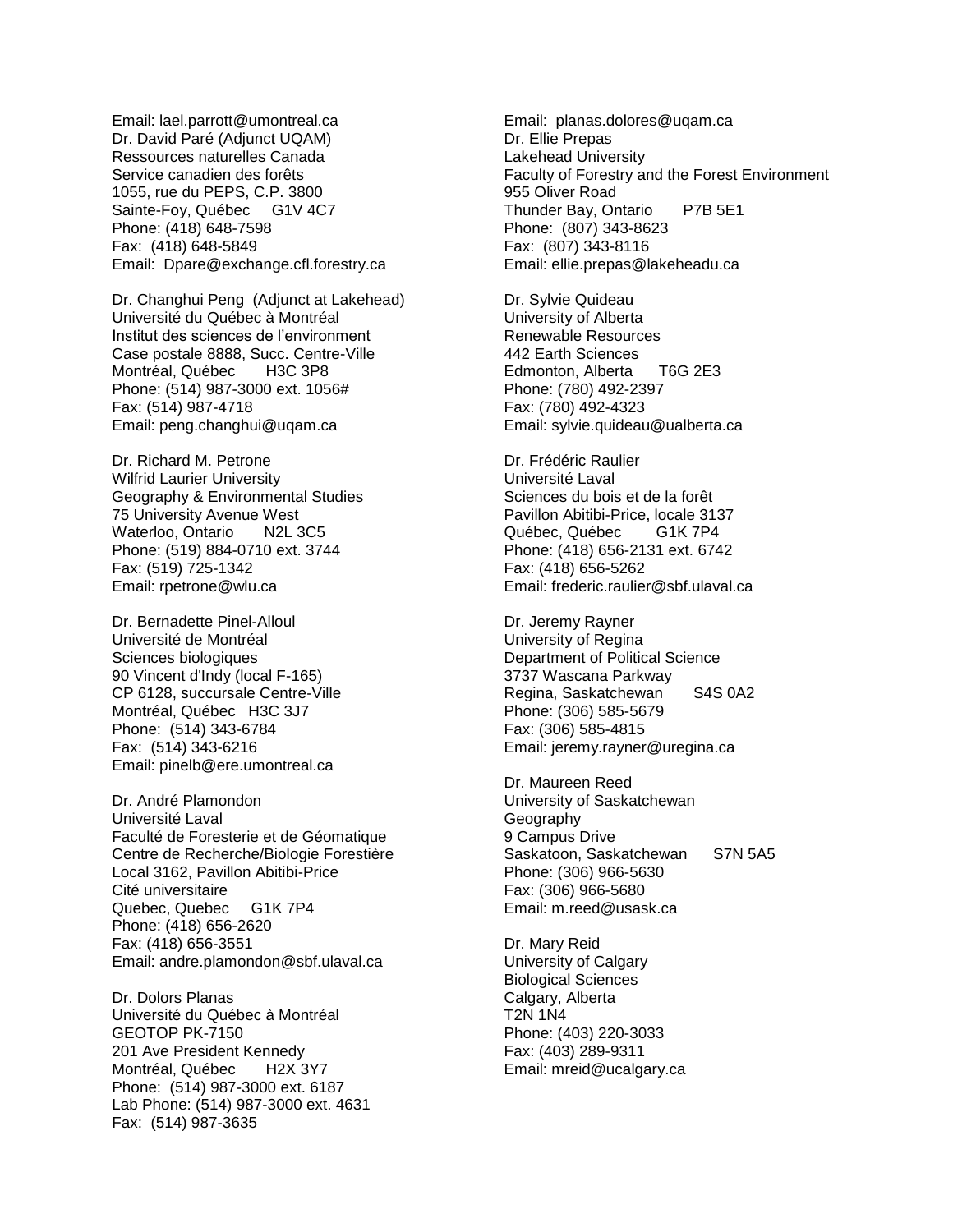Email: lael.parrott@umontreal.ca Dr. David Paré (Adjunct UQAM) Ressources naturelles Canada Service canadien des forêts 1055, rue du PEPS, C.P. 3800 Sainte-Foy, Québec G1V 4C7 Phone: (418) 648-7598 Fax: (418) 648-5849 Email: Dpare@exchange.cfl.forestry.ca

Dr. Changhui Peng (Adjunct at Lakehead) Université du Québec à Montréal Institut des sciences de l'environment Case postale 8888, Succ. Centre-Ville Montréal, Québec H3C 3P8 Phone: (514) 987-3000 ext. 1056# Fax: (514) 987-4718 Email: peng.changhui@uqam.ca

Dr. Richard M. Petrone Wilfrid Laurier University Geography & Environmental Studies 75 University Avenue West Waterloo, Ontario N2L 3C5 Phone: (519) 884-0710 ext. 3744 Fax: (519) 725-1342 Email: rpetrone@wlu.ca

Dr. Bernadette Pinel-Alloul Université de Montréal Sciences biologiques 90 Vincent d'Indy (local F-165) CP 6128, succursale Centre-Ville Montréal, Québec H3C 3J7 Phone: (514) 343-6784 Fax: (514) 343-6216 Email: pinelb@ere.umontreal.ca

Dr. André Plamondon Université Laval Faculté de Foresterie et de Géomatique Centre de Recherche/Biologie Forestière Local 3162, Pavillon Abitibi-Price Cité universitaire Quebec, Quebec G1K 7P4 Phone: (418) 656-2620 Fax: (418) 656-3551 Email: andre.plamondon@sbf.ulaval.ca

Dr. Dolors Planas Université du Québec à Montréal GEOTOP PK-7150 201 Ave President Kennedy Montréal, Québec H2X 3Y7 Phone: (514) 987-3000 ext. 6187 Lab Phone: (514) 987-3000 ext. 4631 Fax: (514) 987-3635

Email: planas.dolores@uqam.ca Dr. Ellie Prepas Lakehead University Faculty of Forestry and the Forest Environment 955 Oliver Road Thunder Bay, Ontario P7B 5E1 Phone: (807) 343-8623 Fax: (807) 343-8116 Email: ellie.prepas@lakeheadu.ca

Dr. Sylvie Quideau University of Alberta Renewable Resources 442 Earth Sciences Edmonton, Alberta T6G 2E3 Phone: (780) 492-2397 Fax: (780) 492-4323 Email: sylvie.quideau@ualberta.ca

Dr. Frédéric Raulier Université Laval Sciences du bois et de la forêt Pavillon Abitibi-Price, locale 3137 Québec, Québec G1K 7P4 Phone: (418) 656-2131 ext. 6742 Fax: (418) 656-5262 Email: frederic.raulier@sbf.ulaval.ca

Dr. Jeremy Rayner University of Regina Department of Political Science 3737 Wascana Parkway Regina, Saskatchewan S4S 0A2 Phone: (306) 585-5679 Fax: (306) 585-4815 Email: jeremy.rayner@uregina.ca

Dr. Maureen Reed University of Saskatchewan Geography 9 Campus Drive Saskatoon, Saskatchewan S7N 5A5 Phone: (306) 966-5630 Fax: (306) 966-5680 Email: m.reed@usask.ca

Dr. Mary Reid University of Calgary Biological Sciences Calgary, Alberta T2N 1N4 Phone: (403) 220-3033 Fax: (403) 289-9311 Email: mreid@ucalgary.ca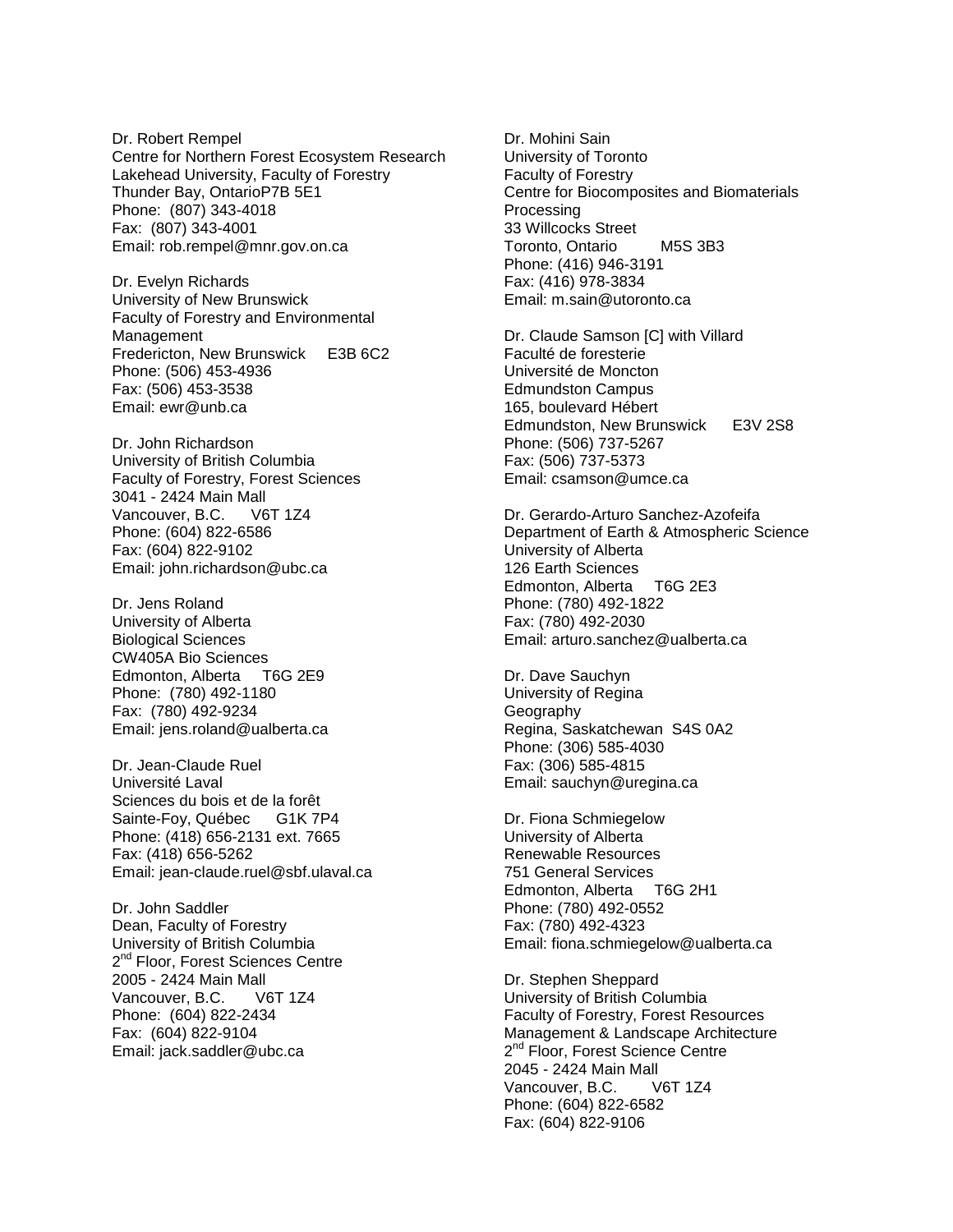Dr. Robert Rempel Centre for Northern Forest Ecosystem Research Lakehead University, Faculty of Forestry Thunder Bay, OntarioP7B 5E1 Phone: (807) 343-4018 Fax: (807) 343-4001 Email: rob.rempel@mnr.gov.on.ca

Dr. Evelyn Richards University of New Brunswick Faculty of Forestry and Environmental Management Fredericton, New Brunswick E3B 6C2 Phone: (506) 453-4936 Fax: (506) 453-3538 Email: ewr@unb.ca

Dr. John Richardson University of British Columbia Faculty of Forestry, Forest Sciences 3041 - 2424 Main Mall Vancouver, B.C. V6T 1Z4 Phone: (604) 822-6586 Fax: (604) 822-9102 Email: john.richardson@ubc.ca

Dr. Jens Roland University of Alberta Biological Sciences CW405A Bio Sciences Edmonton, Alberta T6G 2E9 Phone: (780) 492-1180 Fax: (780) 492-9234 Email: jens.roland@ualberta.ca

Dr. Jean-Claude Ruel Université Laval Sciences du bois et de la forêt Sainte-Foy, Québec G1K 7P4 Phone: (418) 656-2131 ext. 7665 Fax: (418) 656-5262 Email: jean-claude.ruel@sbf.ulaval.ca

Dr. John Saddler Dean, Faculty of Forestry University of British Columbia 2<sup>nd</sup> Floor, Forest Sciences Centre 2005 - 2424 Main Mall Vancouver, B.C. V6T 1Z4 Phone: (604) 822-2434 Fax: (604) 822-9104 Email: jack.saddler@ubc.ca

Dr. Mohini Sain University of Toronto Faculty of Forestry Centre for Biocomposites and Biomaterials Processing 33 Willcocks Street Toronto, Ontario M5S 3B3 Phone: (416) 946-3191 Fax: (416) 978-3834 Email: m.sain@utoronto.ca

Dr. Claude Samson [C] with Villard Faculté de foresterie Université de Moncton Edmundston Campus 165, boulevard Hébert Edmundston, New Brunswick E3V 2S8 Phone: (506) 737-5267 Fax: (506) 737-5373 Email: csamson@umce.ca

Dr. Gerardo-Arturo Sanchez-Azofeifa Department of Earth & Atmospheric Science University of Alberta 126 Earth Sciences Edmonton, Alberta T6G 2E3 Phone: (780) 492-1822 Fax: (780) 492-2030 Email: arturo.sanchez@ualberta.ca

Dr. Dave Sauchyn University of Regina Geography Regina, Saskatchewan S4S 0A2 Phone: (306) 585-4030 Fax: (306) 585-4815 Email: sauchyn@uregina.ca

Dr. Fiona Schmiegelow University of Alberta Renewable Resources 751 General Services Edmonton, Alberta T6G 2H1 Phone: (780) 492-0552 Fax: (780) 492-4323 Email: fiona.schmiegelow@ualberta.ca

Dr. Stephen Sheppard University of British Columbia Faculty of Forestry, Forest Resources Management & Landscape Architecture 2<sup>nd</sup> Floor, Forest Science Centre 2045 - 2424 Main Mall Vancouver, B.C. V6T 1Z4 Phone: (604) 822-6582 Fax: (604) 822-9106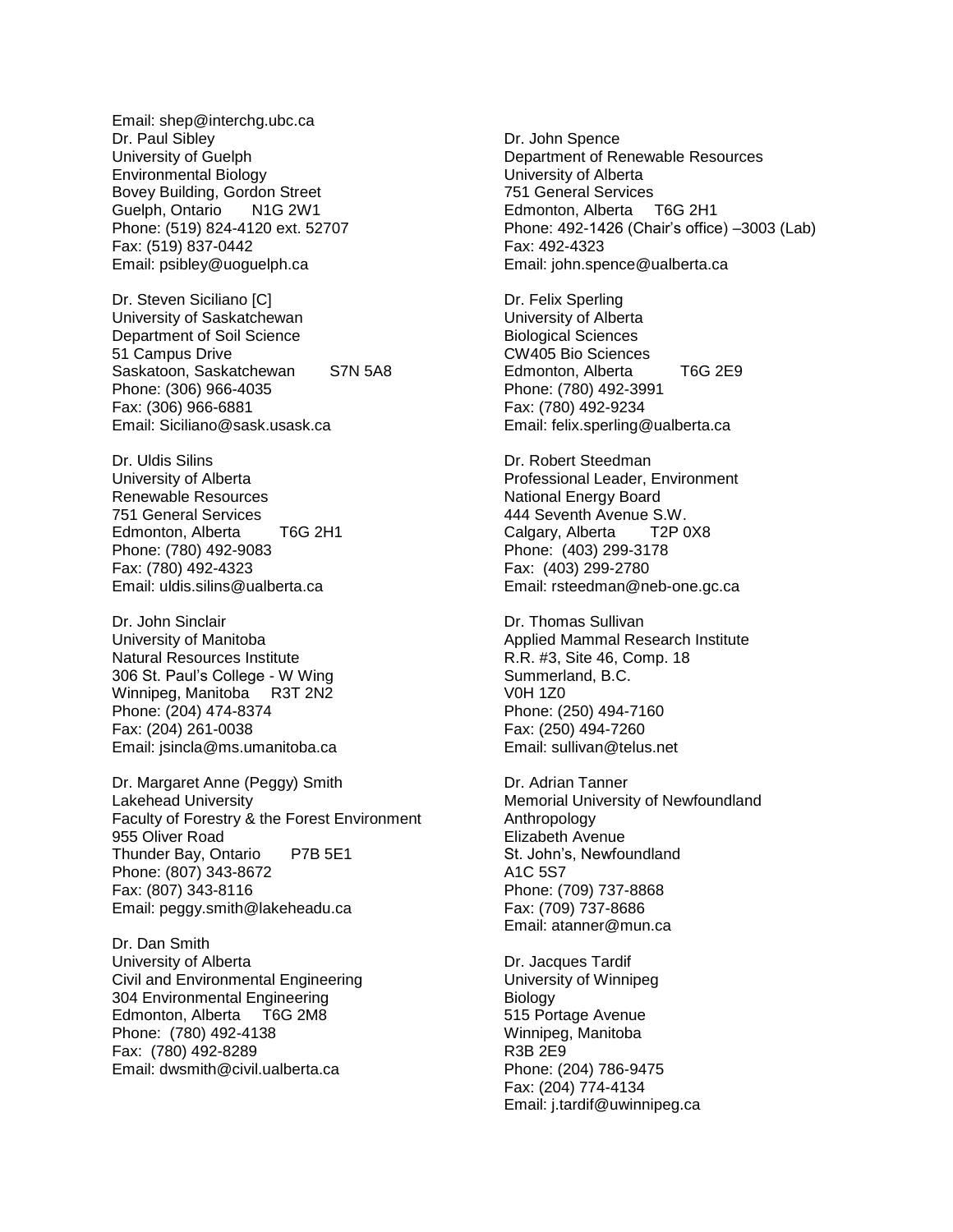Email: shep@interchg.ubc.ca Dr. Paul Sibley University of Guelph Environmental Biology Bovey Building, Gordon Street Guelph, Ontario N1G 2W1 Phone: (519) 824-4120 ext. 52707 Fax: (519) 837-0442 Email: psibley@uoguelph.ca

Dr. Steven Siciliano [C] University of Saskatchewan Department of Soil Science 51 Campus Drive Saskatoon, Saskatchewan S7N 5A8 Phone: (306) 966-4035 Fax: (306) 966-6881 Email: Siciliano@sask.usask.ca

Dr. Uldis Silins University of Alberta Renewable Resources 751 General Services Edmonton, Alberta T6G 2H1 Phone: (780) 492-9083 Fax: (780) 492-4323 Email: uldis.silins@ualberta.ca

Dr. John Sinclair University of Manitoba Natural Resources Institute 306 St. Paul's College - W Wing Winnipeg, Manitoba R3T 2N2 Phone: (204) 474-8374 Fax: (204) 261-0038 Email: jsincla@ms.umanitoba.ca

Dr. Margaret Anne (Peggy) Smith Lakehead University Faculty of Forestry & the Forest Environment 955 Oliver Road Thunder Bay, Ontario P7B 5E1 Phone: (807) 343-8672 Fax: (807) 343-8116 Email: peggy.smith@lakeheadu.ca

Dr. Dan Smith University of Alberta Civil and Environmental Engineering 304 Environmental Engineering Edmonton, Alberta T6G 2M8 Phone: (780) 492-4138 Fax: (780) 492-8289 Email: dwsmith@civil.ualberta.ca

Dr. John Spence Department of Renewable Resources University of Alberta 751 General Services Edmonton, Alberta T6G 2H1 Phone: 492-1426 (Chair's office) –3003 (Lab) Fax: 492-4323 Email: john.spence@ualberta.ca

Dr. Felix Sperling University of Alberta Biological Sciences CW405 Bio Sciences Edmonton, Alberta T6G 2E9 Phone: (780) 492-3991 Fax: (780) 492-9234 Email: felix.sperling@ualberta.ca

Dr. Robert Steedman Professional Leader, Environment National Energy Board 444 Seventh Avenue S.W. Calgary, Alberta T2P 0X8 Phone: (403) 299-3178 Fax: (403) 299-2780 Email: rsteedman@neb-one.gc.ca

Dr. Thomas Sullivan Applied Mammal Research Institute R.R. #3, Site 46, Comp. 18 Summerland, B.C. V0H 1Z0 Phone: (250) 494-7160 Fax: (250) 494-7260 Email: sullivan@telus.net

Dr. Adrian Tanner Memorial University of Newfoundland Anthropology Elizabeth Avenue St. John's, Newfoundland A1C 5S7 Phone: (709) 737-8868 Fax: (709) 737-8686 Email: atanner@mun.ca

Dr. Jacques Tardif University of Winnipeg **Biology** 515 Portage Avenue Winnipeg, Manitoba R3B 2E9 Phone: (204) 786-9475 Fax: (204) 774-4134 Email: j.tardif@uwinnipeg.ca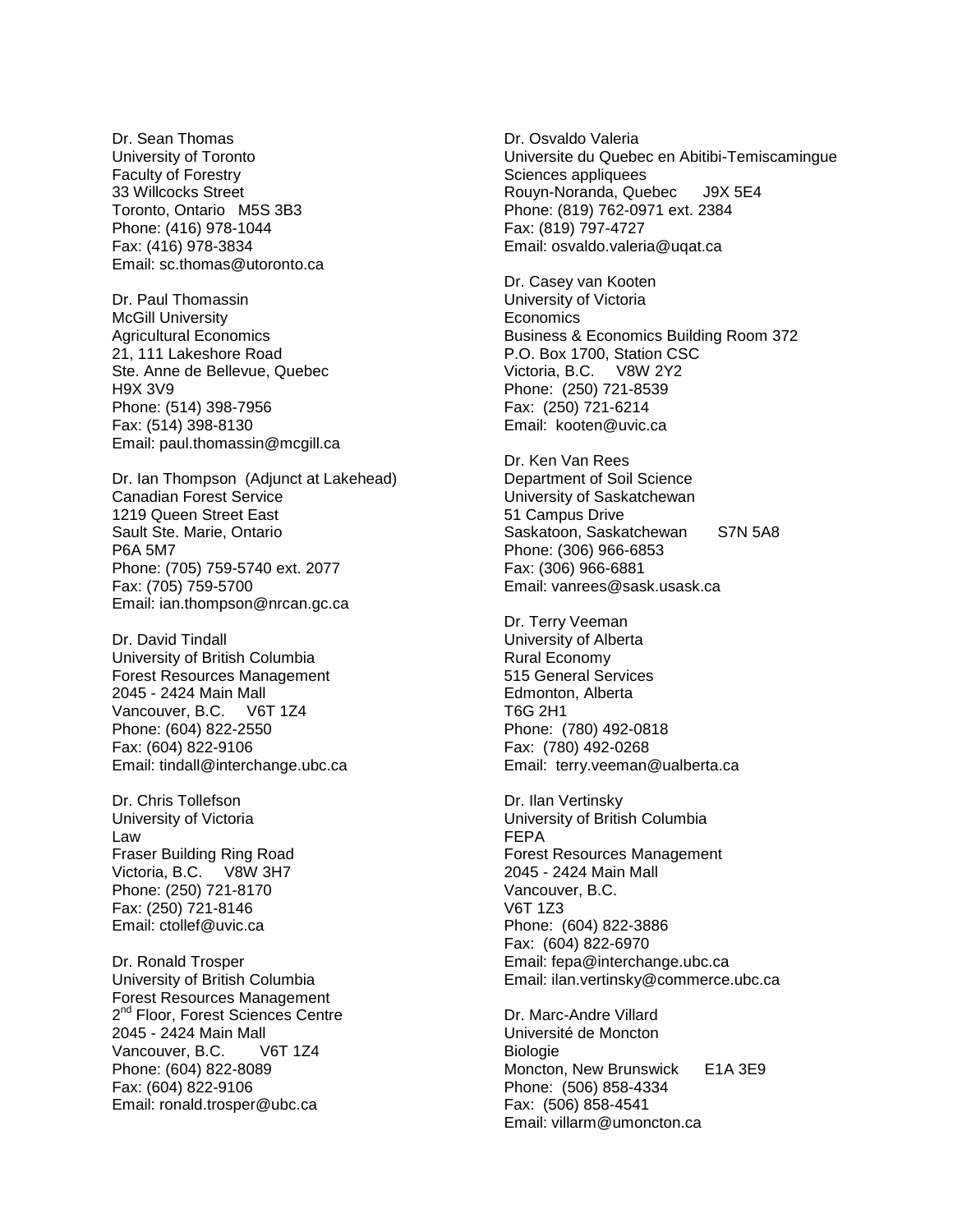Dr. Sean Thomas University of Toronto Faculty of Forestry 33 Willcocks Street Toronto, Ontario M5S 3B3 Phone: (416) 978-1044 Fax: (416) 978-3834 Email: sc.thomas@utoronto.ca

Dr. Paul Thomassin McGill University Agricultural Economics 21, 111 Lakeshore Road Ste. Anne de Bellevue, Quebec H9X 3V9 Phone: (514) 398-7956 Fax: (514) 398-8130 Email: paul.thomassin@mcgill.ca

Dr. Ian Thompson (Adjunct at Lakehead) Canadian Forest Service 1219 Queen Street East Sault Ste. Marie, Ontario P6A 5M7 Phone: (705) 759-5740 ext. 2077 Fax: (705) 759-5700 Email: ian.thompson@nrcan.gc.ca

Dr. David Tindall University of British Columbia Forest Resources Management 2045 - 2424 Main Mall Vancouver, B.C. V6T 1Z4 Phone: (604) 822-2550 Fax: (604) 822-9106 Email: tindall@interchange.ubc.ca

Dr. Chris Tollefson University of Victoria Law Fraser Building Ring Road Victoria, B.C. V8W 3H7 Phone: (250) 721-8170 Fax: (250) 721-8146 Email: ctollef@uvic.ca

Dr. Ronald Trosper University of British Columbia Forest Resources Management 2<sup>nd</sup> Floor, Forest Sciences Centre 2045 - 2424 Main Mall Vancouver, B.C. V6T 1Z4 Phone: (604) 822-8089 Fax: (604) 822-9106 Email: ronald.trosper@ubc.ca

Dr. Osvaldo Valeria Universite du Quebec en Abitibi-Temiscamingue Sciences appliquees Rouyn-Noranda, Quebec J9X 5E4 Phone: (819) 762-0971 ext. 2384 Fax: (819) 797-4727 Email: osvaldo.valeria@uqat.ca

Dr. Casey van Kooten University of Victoria **Economics** Business & Economics Building Room 372 P.O. Box 1700, Station CSC Victoria, B.C. V8W 2Y2 Phone: (250) 721-8539 Fax: (250) 721-6214 Email: kooten@uvic.ca

Dr. Ken Van Rees Department of Soil Science University of Saskatchewan 51 Campus Drive Saskatoon, Saskatchewan S7N 5A8 Phone: (306) 966-6853 Fax: (306) 966-6881 Email: vanrees@sask.usask.ca

Dr. Terry Veeman University of Alberta Rural Economy 515 General Services Edmonton, Alberta T6G 2H1 Phone: (780) 492-0818 Fax: (780) 492-0268 Email: terry.veeman@ualberta.ca

Dr. Ilan Vertinsky University of British Columbia FEPA Forest Resources Management 2045 - 2424 Main Mall Vancouver, B.C. V6T 1Z3 Phone: (604) 822-3886 Fax: (604) 822-6970 Email: fepa@interchange.ubc.ca Email: ilan.vertinsky@commerce.ubc.ca

Dr. Marc-Andre Villard Université de Moncton Biologie Moncton, New Brunswick E1A 3E9 Phone: (506) 858-4334 Fax: (506) 858-4541 Email: villarm@umoncton.ca